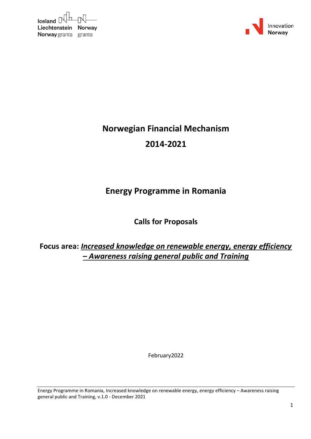| $I$ celand $\mathbb{R}$ $\Box$ |  |
|--------------------------------|--|
| Liechtenstein Norway           |  |
| <b>Norway</b> grants grants    |  |



# **Norwegian Financial Mechanism 2014‐2021**

## **Energy Programme in Romania**

**Calls for Proposals**

**Focus area:** *Increased knowledge on renewable energy, energy efficiency – Awareness raising general public and Training*

February2022

Energy Programme in Romania, Increased knowledge on renewable energy, energy efficiency – Awareness raising general public and Training, v.1.0 - December 2021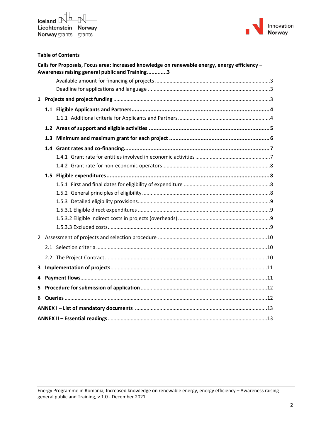

### **Table of Contents**

|              |  | Calls for Proposals, Focus area: Increased knowledge on renewable energy, energy efficiency -<br>Awareness raising general public and Training3 |  |  |  |  |
|--------------|--|-------------------------------------------------------------------------------------------------------------------------------------------------|--|--|--|--|
|              |  |                                                                                                                                                 |  |  |  |  |
|              |  |                                                                                                                                                 |  |  |  |  |
| $\mathbf{1}$ |  |                                                                                                                                                 |  |  |  |  |
|              |  |                                                                                                                                                 |  |  |  |  |
|              |  |                                                                                                                                                 |  |  |  |  |
|              |  |                                                                                                                                                 |  |  |  |  |
|              |  |                                                                                                                                                 |  |  |  |  |
|              |  |                                                                                                                                                 |  |  |  |  |
|              |  |                                                                                                                                                 |  |  |  |  |
|              |  |                                                                                                                                                 |  |  |  |  |
|              |  |                                                                                                                                                 |  |  |  |  |
|              |  |                                                                                                                                                 |  |  |  |  |
|              |  |                                                                                                                                                 |  |  |  |  |
|              |  |                                                                                                                                                 |  |  |  |  |
|              |  |                                                                                                                                                 |  |  |  |  |
|              |  |                                                                                                                                                 |  |  |  |  |
|              |  |                                                                                                                                                 |  |  |  |  |
|              |  |                                                                                                                                                 |  |  |  |  |
|              |  |                                                                                                                                                 |  |  |  |  |
|              |  |                                                                                                                                                 |  |  |  |  |
| 3            |  |                                                                                                                                                 |  |  |  |  |
| 4            |  |                                                                                                                                                 |  |  |  |  |
| 5            |  |                                                                                                                                                 |  |  |  |  |
| 6            |  |                                                                                                                                                 |  |  |  |  |
|              |  |                                                                                                                                                 |  |  |  |  |
|              |  |                                                                                                                                                 |  |  |  |  |

Energy Programme in Romania, Increased knowledge on renewable energy, energy efficiency – Awareness raising general public and Training, v.1.0 - December 2021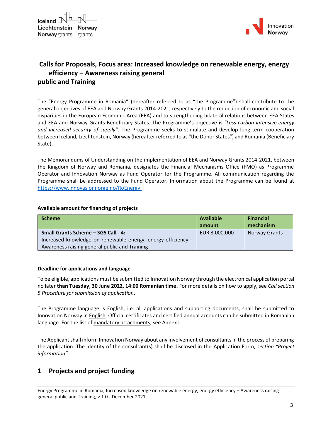

### <span id="page-2-0"></span>**Calls for Proposals, Focus area: Increased knowledge on renewable energy, energy efficiency – Awareness raising general public and Training**

The "Energy Programme in Romania" (hereafter referred to as "the Programme") shall contribute to the general objectives of EEA and Norway Grants 2014-2021, respectively to the reduction of economic and social disparities in the European Economic Area (EEA) and to strengthening bilateral relations between EEA States and EEA and Norway Grants Beneficiary States. The Programme's objective is *"Less carbon intensive energy and increased security of supply"*. The Programme seeks to stimulate and develop long-term cooperation between Iceland, Liechtenstein, Norway (hereafter referred to as "the Donor States") and Romania (Beneficiary State).

The Memorandums of Understanding on the implementation of EEA and Norway Grants 2014-2021, between the Kingdom of Norway and Romania, designates the Financial Mechanisms Office (FMO) as Programme Operator and Innovation Norway as Fund Operator for the Programme. All communication regarding the Programme shall be addressed to the Fund Operator. Information about the Programme can be found at [https://www.innovasjonnorge.no/RoEnergy.](https://www.innovasjonnorge.no/RoEnergy)

#### <span id="page-2-1"></span>**Available amount for financing of projects**

| <b>Scheme</b>                                                | <b>Available</b> | <b>Financial</b>     |
|--------------------------------------------------------------|------------------|----------------------|
|                                                              | amount           | mechanism            |
| <b>Small Grants Scheme - SGS Call - 4:</b>                   | EUR 3.000.000    | <b>Norway Grants</b> |
| Increased knowledge on renewable energy, energy efficiency - |                  |                      |
| Awareness raising general public and Training                |                  |                      |

### <span id="page-2-2"></span>**Deadline for applications and language**

To be eligible, applications must be submitted to Innovation Norway through the electronical application portal no later **than Tuesday, 30 June 2022, 14:00 Romanian time.** For more details on how to apply, see *Call section 5 Procedure for submission of application*.

The Programme language is English, i.e. all applications and supporting documents, shall be submitted to Innovation Norway in English. Official certificates and certified annual accounts can be submitted in Romanian language. For the list of mandatory attachments, see Annex I.

The Applicant shall inform Innovation Norway about any involvement of consultants in the process of preparing the application. The identity of the consultant(s) shall be disclosed in the Application Form, *section "Project information"*.

### <span id="page-2-3"></span>**1 Projects and project funding**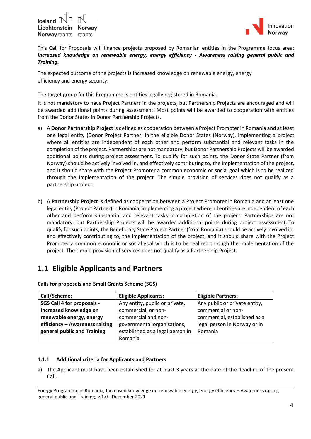



This Call for Proposals will finance projects proposed by Romanian entities in the Programme focus area: *Increased knowledge on renewable energy, energy efficiency - Awareness raising general public and Training.*

The expected outcome of the projects is increased knowledge on renewable energy, energy efficiency and energy security.

The target group for this Programme is entities legally registered in Romania.

It is not mandatory to have Project Partners in the projects, but Partnership Projects are encouraged and will be awarded additional points during assessment. Most points will be awarded to cooperation with entities from the Donor States in Donor Partnership Projects.

- a) A **Donor Partnership Project** is defined as cooperation between a Project Promoter in Romania and at least one legal entity (Donor Project Partner) in the eligible Donor States (Norway), implementing a project where all entities are independent of each other and perform substantial and relevant tasks in the completion of the project. Partnerships are not mandatory, but Donor Partnership Projects will be awarded additional points during project assessment. To qualify for such points, the Donor State Partner (from Norway) should be actively involved in, and effectively contributing to, the implementation of the project, and it should share with the Project Promoter a common economic or social goal which is to be realized through the implementation of the project. The simple provision of services does not qualify as a partnership project.
- b) A **Partnership Project** is defined as cooperation between a Project Promoter in Romania and at least one legal entity (Project Partner) in Romania, implementing a project where all entities are independent of each other and perform substantial and relevant tasks in completion of the project. Partnerships are not mandatory, but Partnership Projects will be awarded additional points during project assessment. To qualify for such points, the Beneficiary State Project Partner (from Romania) should be actively involved in, and effectively contributing to, the implementation of the project, and it should share with the Project Promoter a common economic or social goal which is to be realized through the implementation of the project. The simple provision of services does not qualify as a Partnership Project.

## <span id="page-3-0"></span>**1.1 Eligible Applicants and Partners**

| Call/Scheme:                   | <b>Eligible Applicants:</b>      | <b>Eligible Partners:</b>     |
|--------------------------------|----------------------------------|-------------------------------|
| SGS Call 4 for proposals -     | Any entity, public or private,   | Any public or private entity, |
| Increased knowledge on         | commercial, or non-              | commercial or non-            |
| renewable energy, energy       | commercial and non-              | commercial, established as a  |
| efficiency - Awareness raising | governmental organisations,      | legal person in Norway or in  |
| general public and Training    | established as a legal person in | Romania                       |
|                                | Romania                          |                               |

**Calls for proposals and Small Grants Scheme (SGS)**

#### <span id="page-3-1"></span>**1.1.1 Additional criteria for Applicants and Partners**

a) The Applicant must have been established for at least 3 years at the date of the deadline of the present Call.

Energy Programme in Romania, Increased knowledge on renewable energy, energy efficiency – Awareness raising general public and Training, v.1.0 - December 2021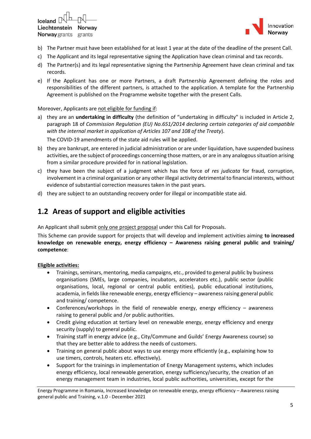Iceland  $\mathbb P$ Liechtenstein Norway **Norway** grants grants



- b) The Partner must have been established for at least 1 year at the date of the deadline of the present Call.
- c) The Applicant and its legal representative signing the Application have clean criminal and tax records.
- d) The Partner(s) and its legal representative signing the Partnership Agreement have clean criminal and tax records.
- e) If the Applicant has one or more Partners, a draft Partnership Agreement defining the roles and responsibilities of the different partners, is attached to the application. A template for the Partnership Agreement is published on the Programme website together with the present Calls.

Moreover, Applicants are not eligible for funding if:

a) they are an **undertaking in difficulty** (the definition of "undertaking in difficulty" is included in Article 2, paragraph 18 of *Commission Regulation (EU) No.651/2014 declaring certain categories of aid compatible with the internal market in application of Articles 107 and 108 of the Treaty*).

The COVID-19 amendments of the state aid rules will be applied.

- b) they are bankrupt, are entered in judicial administration or are under liquidation, have suspended business activities, are the subject of proceedings concerning those matters, or are in any analogous situation arising from a similar procedure provided for in national legislation.
- c) they have been the subject of a judgment which has the force of *res judicata* for fraud, corruption, involvement in a criminal organization or any other illegal activity detrimental to financial interests, without evidence of substantial correction measures taken in the past years.
- <span id="page-4-0"></span>d) they are subject to an outstanding recovery order for illegal or incompatible state aid.

### **1.2 Areas of support and eligible activities**

An Applicant shall submit only one project proposal under this Call for Proposals.

This Scheme can provide support for projects that will develop and implement activities aiming **to increased knowledge on renewable energy, energy efficiency – Awareness raising general public and training/ competence**:

### **Eligible activities:**

- Trainings, seminars, mentoring, media campaigns, etc., provided to general public by business organisations (SMEs, large companies, incubators, accelerators etc.), public sector (public organisations, local, regional or central public entities), public educational institutions, academia, in fields like renewable energy, energy efficiency – awareness raising general public and training/ competence.
- Conferences/workshops in the field of renewable energy, energy efficiency awareness raising to general public and /or public authorities.
- Credit giving education at tertiary level on renewable energy, energy efficiency and energy security (supply) to general public.
- Training staff in energy advice (e.g., City/Commune and Guilds' Energy Awareness course) so that they are better able to address the needs of customers.
- Training on general public about ways to use energy more efficiently (e.g., explaining how to use timers, controls, heaters etc. effectively).
- Support for the trainings in implementation of Energy Management systems, which includes energy efficiency, local renewable generation, energy sufficiency/security, the creation of an energy management team in industries, local public authorities, universities, except for the

Energy Programme in Romania, Increased knowledge on renewable energy, energy efficiency – Awareness raising general public and Training, v.1.0 - December 2021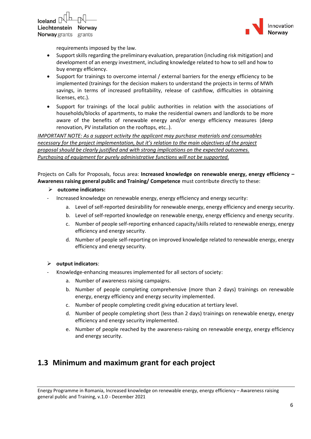



requirements imposed by the law.

- Support skills regarding the preliminary evaluation, preparation (including risk mitigation) and development of an energy investment, including knowledge related to how to sell and how to buy energy efficiency.
- Support for trainings to overcome internal / external barriers for the energy efficiency to be implemented (trainings for the decision makers to understand the projects in terms of MWh savings, in terms of increased profitability, release of cashflow, difficulties in obtaining licenses, etc.).
- Support for trainings of the local public authorities in relation with the associations of households/blocks of apartments, to make the residential owners and landlords to be more aware of the benefits of renewable energy and/or energy efficiency measures (deep renovation, PV installation on the rooftops, etc..).

*IMPORTANT NOTE: As a support activity the applicant may purchase materials and consumables necessary for the project implementation, but it's relation to the main objectives of the project proposal should be clearly justified and with strong implications on the expected outcomes. Purchasing of equipment for purely administrative functions will not be supported.*

Projects on Calls for Proposals, focus area: **Increased knowledge on renewable energy, energy efficiency – Awareness raising general public and Training/ Competence** must contribute directly to these:

- ➢ **outcome indicators:**
- Increased knowledge on renewable energy, energy efficiency and energy security:
	- a. Level of self-reported desirability for renewable energy, energy efficiency and energy security.
	- b. Level of self-reported knowledge on renewable energy, energy efficiency and energy security.
	- c. Number of people self‐reporting enhanced capacity/skills related to renewable energy, energy efficiency and energy security.
	- d. Number of people self‐reporting on improved knowledge related to renewable energy, energy efficiency and energy security.

### ➢ **output indicators**:

- Knowledge‐enhancing measures implemented for all sectors of society:
	- a. Number of awareness raising campaigns.
	- b. Number of people completing comprehensive (more than 2 days) trainings on renewable energy, energy efficiency and energy security implemented.
	- c. Number of people completing credit giving education at tertiary level.
	- d. Number of people completing short (less than 2 days) trainings on renewable energy, energy efficiency and energy security implemented.
	- e. Number of people reached by the awareness-raising on renewable energy, energy efficiency and energy security.

### <span id="page-5-0"></span>**1.3 Minimum and maximum grant for each project**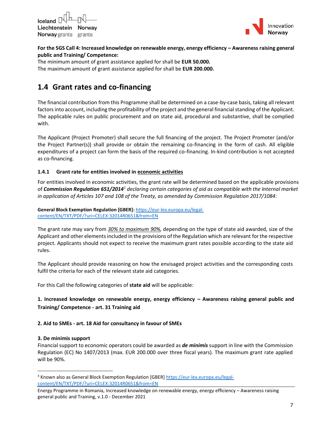



### **For the SGS Call 4: Increased knowledge on renewable energy, energy efficiency – Awareness raising general public and Training/ Competence:**

The minimum amount of grant assistance applied for shall be **EUR 50.000.** The maximum amount of grant assistance applied for shall be **EUR 200.000.**

### <span id="page-6-0"></span>**1.4 Grant rates and co-financing**

The financial contribution from this Programme shall be determined on a case-by-case basis, taking all relevant factors into account, including the profitability of the project and the general financial standing of the Applicant. The applicable rules on public procurement and on state aid, procedural and substantive, shall be complied with.

The Applicant (Project Promoter) shall secure the full financing of the project. The Project Promoter (and/or the Project Partner(s)) shall provide or obtain the remaining co-financing in the form of cash. All eligible expenditures of a project can form the basis of the required co-financing. In-kind contribution is not accepted as co-financing.

### <span id="page-6-1"></span>**1.4.1 Grant rate for entities involved in economic activities**

For entities involved in economic activities, the grant rate will be determined based on the applicable provisions of *Commission Regulation 651/2014<sup>1</sup> declaring certain categories of aid as compatible with the Internal market in application of Articles 107 and 108 of the Treaty, as amended by Commission Regulation 2017/1084:* 

**General Block Exemption Regulation [GBER]:** [https://eur-lex.europa.eu/legal](https://eur-lex.europa.eu/legal-content/EN/TXT/PDF/?uri=CELEX:32014R0651&from=EN)[content/EN/TXT/PDF/?uri=CELEX:32014R0651&from=EN](https://eur-lex.europa.eu/legal-content/EN/TXT/PDF/?uri=CELEX:32014R0651&from=EN)

The grant rate may vary from *30% to maximum 90%,* depending on the type of state aid awarded, size of the Applicant and other elements included in the provisions of the Regulation which are relevant for the respective project. Applicants should not expect to receive the maximum grant rates possible according to the state aid rules.

The Applicant should provide reasoning on how the envisaged project activities and the corresponding costs fulfil the criteria for each of the relevant state aid categories.

For this Call the following categories of **state aid** will be applicable:

### **1. Increased knowledge on renewable energy, energy efficiency – Awareness raising general public and Training/ Competence - art. 31 Training aid**

### **2. Aid to SMEs - art. 18 Aid for consultancy in favour of SMEs**

### **3. De minimis support**

Financial support to economic operators could be awarded as *de minimis* support in line with the Commission Regulation (EC) No 1407/2013 (max. EUR 200.000 over three fiscal years). The maximum grant rate applied will be 90%.

<sup>3</sup> Known also as General Block Exemption Regulation [GBER] [https://eur-lex.europa.eu/legal](https://eur-lex.europa.eu/legal-content/EN/TXT/PDF/?uri=CELEX:32014R0651&from=EN)[content/EN/TXT/PDF/?uri=CELEX:32014R0651&from=EN](https://eur-lex.europa.eu/legal-content/EN/TXT/PDF/?uri=CELEX:32014R0651&from=EN)

Energy Programme in Romania, Increased knowledge on renewable energy, energy efficiency – Awareness raising general public and Training, v.1.0 - December 2021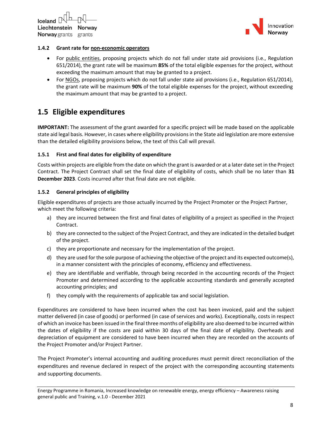

### <span id="page-7-0"></span>**1.4.2 Grant rate for non-economic operators**

- For public entities, proposing projects which do not fall under state aid provisions (i.e., Regulation 651/2014), the grant rate will be maximum **85%** of the total eligible expenses for the project, without exceeding the maximum amount that may be granted to a project.
- For NGOs, proposing projects which do not fall under state aid provisions (i.e., Regulation 651/2014), the grant rate will be maximum **90%** of the total eligible expenses for the project, without exceeding the maximum amount that may be granted to a project.

### <span id="page-7-1"></span>**1.5 Eligible expenditures**

**IMPORTANT:** The assessment of the grant awarded for a specific project will be made based on the applicable state aid legal basis. However, in cases where eligibility provisions in the State aid legislation are more extensive than the detailed eligibility provisions below, the text of this Call will prevail.

### <span id="page-7-2"></span>**1.5.1 First and final dates for eligibility of expenditure**

Costs within projects are eligible from the date on which the grant is awarded or at a later date set in the Project Contract. The Project Contract shall set the final date of eligibility of costs, which shall be no later than **31 December 2023**. Costs incurred after that final date are not eligible.

### <span id="page-7-3"></span>**1.5.2 General principles of eligibility**

Eligible expenditures of projects are those actually incurred by the Project Promoter or the Project Partner, which meet the following criteria:

- a) they are incurred between the first and final dates of eligibility of a project as specified in the Project Contract.
- b) they are connected to the subject of the Project Contract, and they are indicated in the detailed budget of the project.
- c) they are proportionate and necessary for the implementation of the project.
- d) they are used for the sole purpose of achieving the objective of the project and its expected outcome(s), in a manner consistent with the principles of economy, efficiency and effectiveness.
- e) they are identifiable and verifiable, through being recorded in the accounting records of the Project Promoter and determined according to the applicable accounting standards and generally accepted accounting principles; and
- f) they comply with the requirements of applicable tax and social legislation.

Expenditures are considered to have been incurred when the cost has been invoiced, paid and the subject matter delivered (in case of goods) or performed (in case of services and works). Exceptionally, costs in respect of which an invoice has been issued in the final three months of eligibility are also deemed to be incurred within the dates of eligibility if the costs are paid within 30 days of the final date of eligibility. Overheads and depreciation of equipment are considered to have been incurred when they are recorded on the accounts of the Project Promoter and/or Project Partner.

The Project Promoter's internal accounting and auditing procedures must permit direct reconciliation of the expenditures and revenue declared in respect of the project with the corresponding accounting statements and supporting documents.

Energy Programme in Romania, Increased knowledge on renewable energy, energy efficiency – Awareness raising general public and Training, v.1.0 - December 2021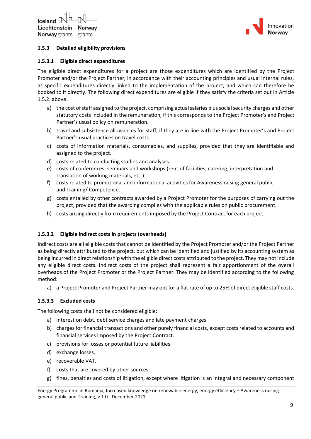

### <span id="page-8-0"></span>**1.5.3 Detailed eligibility provisions**

#### <span id="page-8-1"></span>**1.5.3.1 Eligible direct expenditures**

The eligible direct expenditures for a project are those expenditures which are identified by the Project Promoter and/or the Project Partner, in accordance with their accounting principles and usual internal rules, as specific expenditures directly linked to the implementation of the project, and which can therefore be booked to it directly. The following direct expenditures are eligible if they satisfy the criteria set out in Article 1.5.2. above:

- a) the cost of staff assigned to the project, comprising actual salaries plus social security charges and other statutory costs included in the remuneration, if this corresponds to the Project Promoter's and Project Partner's usual policy on remuneration.
- b) travel and subsistence allowances for staff, if they are in line with the Project Promoter's and Project Partner's usual practices on travel costs.
- c) costs of information materials, consumables, and supplies, provided that they are identifiable and assigned to the project.
- d) costs related to conducting studies and analyses.
- e) costs of conferences, seminars and workshops (rent of facilities, catering, interpretation and translation of working materials, etc.).
- f) costs related to promotional and informational activities for Awareness raising general public and Training/ Competence.
- g) costs entailed by other contracts awarded by a Project Promoter for the purposes of carrying out the project, provided that the awarding complies with the applicable rules on public procurement.
- h) costs arising directly from requirements imposed by the Project Contract for each project.

#### <span id="page-8-2"></span>**1.5.3.2 Eligible indirect costs in projects (overheads)**

Indirect costs are all eligible costs that cannot be identified by the Project Promoter and/or the Project Partner as being directly attributed to the project, but which can be identified and justified by its accounting system as being incurred in direct relationship with the eligible direct costs attributed to the project. They may not include any eligible direct costs. Indirect costs of the project shall represent a fair apportionment of the overall overheads of the Project Promoter or the Project Partner. They may be identified according to the following method:

a) a Project Promoter and Project Partner may opt for a flat rate of up to 25% of direct eligible staff costs.

#### <span id="page-8-3"></span>**1.5.3.3 Excluded costs**

The following costs shall not be considered eligible:

- a) interest on debt, debt service charges and late payment charges.
- b) charges for financial transactions and other purely financial costs, except costs related to accounts and financial services imposed by the Project Contract.
- c) provisions for losses or potential future liabilities.
- d) exchange losses.
- e) recoverable VAT.
- f) costs that are covered by other sources.
- g) fines, penalties and costs of litigation, except where litigation is an integral and necessary component

Energy Programme in Romania, Increased knowledge on renewable energy, energy efficiency – Awareness raising general public and Training, v.1.0 - December 2021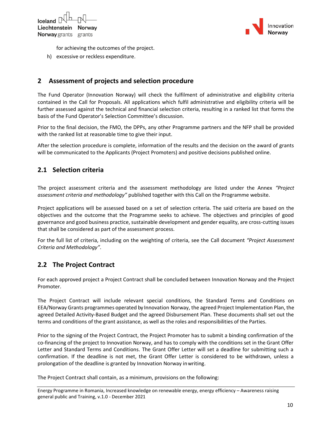



for achieving the outcomes of the project.

h) excessive or reckless expenditure.

### <span id="page-9-0"></span>**2 Assessment of projects and selection procedure**

The Fund Operator (Innovation Norway) will check the fulfilment of administrative and eligibility criteria contained in the Call for Proposals. All applications which fulfil administrative and eligibility criteria will be further assessed against the technical and financial selection criteria, resulting in a ranked list that forms the basis of the Fund Operator's Selection Committee's discussion.

Prior to the final decision, the FMO, the DPPs, any other Programme partners and the NFP shall be provided with the ranked list at reasonable time to give their input.

After the selection procedure is complete, information of the results and the decision on the award of grants will be communicated to the Applicants (Project Promoters) and positive decisions published online.

### <span id="page-9-1"></span>**2.1 Selection criteria**

The project assessment criteria and the assessment methodology are listed under the Annex *"Project assessment criteria and methodology"* published together with this Call on the Programme website.

Project applications will be assessed based on a set of selection criteria. The said criteria are based on the objectives and the outcome that the Programme seeks to achieve. The objectives and principles of good governance and good business practice, sustainable development and gender equality, are cross-cutting issues that shall be considered as part of the assessment process.

For the full list of criteria, including on the weighting of criteria, see the Call document *"Project Assessment Criteria and Methodology"*.

### <span id="page-9-2"></span>**2.2 The Project Contract**

For each approved project a Project Contract shall be concluded between Innovation Norway and the Project Promoter.

The Project Contract will include relevant special conditions, the Standard Terms and Conditions on EEA/Norway Grants programmes operated by Innovation Norway, the agreed Project Implementation Plan, the agreed Detailed Activity-Based Budget and the agreed Disbursement Plan. These documents shall set out the terms and conditions of the grant assistance, as well as the roles and responsibilities of the Parties.

Prior to the signing of the Project Contract, the Project Promoter has to submit a binding confirmation of the co-financing of the project to Innovation Norway, and has to comply with the conditions set in the Grant Offer Letter and Standard Terms and Conditions. The Grant Offer Letter will set a deadline for submitting such a confirmation. If the deadline is not met, the Grant Offer Letter is considered to be withdrawn, unless a prolongation of the deadline is granted by Innovation Norway inwriting.

The Project Contract shall contain, as a minimum, provisions on the following:

Energy Programme in Romania, Increased knowledge on renewable energy, energy efficiency – Awareness raising general public and Training, v.1.0 - December 2021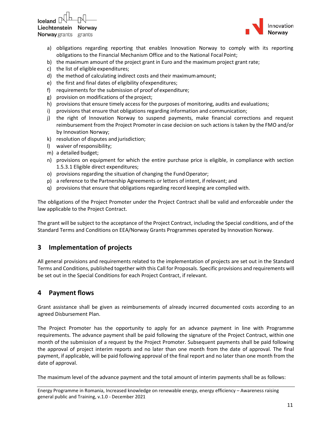$I$ celand  $\Box$ Liechtenstein Norwav **Norway** grants grants



- a) obligations regarding reporting that enables Innovation Norway to comply with its reporting obligations to the Financial Mechanism Office and to the National Focal Point;
- b) the maximum amount of the project grant in Euro and the maximum project grant rate;
- c) the list of eligible expenditures;
- d) the method of calculating indirect costs and their maximumamount;
- e) the first and final dates of eligibility ofexpenditures;
- f) requirements for the submission of proof ofexpenditure;
- g) provision on modifications of the project;
- h) provisions that ensure timely access for the purposes of monitoring, audits and evaluations;
- i) provisions that ensure that obligations regarding information and communication;
- j) the right of Innovation Norway to suspend payments, make financial corrections and request reimbursement from the Project Promoter in case decision on such actions is taken by the FMO and/or by Innovation Norway;
- k) resolution of disputes and jurisdiction;
- l) waiver ofresponsibility;
- m) a detailed budget;
- n) provisions on equipment for which the entire purchase price is eligible, in compliance with section 1.5.3.1 Eligible direct expenditures;
- o) provisions regarding the situation of changing the FundOperator;
- p) a reference to the Partnership Agreements or letters of intent, if relevant; and
- q) provisions that ensure that obligations regarding record keeping are complied with.

The obligations of the Project Promoter under the Project Contract shall be valid and enforceable under the law applicable to the Project Contract.

The grant will be subject to the acceptance of the Project Contract, including the Special conditions, and of the Standard Terms and Conditions on EEA/Norway Grants Programmes operated by Innovation Norway.

### <span id="page-10-0"></span>**3 Implementation of projects**

All general provisions and requirements related to the implementation of projects are set out in the Standard Terms and Conditions, published together with this Call for Proposals. Specific provisions and requirements will be set out in the Special Conditions for each Project Contract, if relevant.

### <span id="page-10-1"></span>**4 Payment flows**

Grant assistance shall be given as reimbursements of already incurred documented costs according to an agreed Disbursement Plan.

The Project Promoter has the opportunity to apply for an advance payment in line with Programme requirements. The advance payment shall be paid following the signature of the Project Contract, within one month of the submission of a request by the Project Promoter. Subsequent payments shall be paid following the approval of project interim reports and no later than one month from the date of approval. The final payment, if applicable, will be paid following approval of the final report and no later than one month from the date of approval.

The maximum level of the advance payment and the total amount of interim payments shall be as follows:

Energy Programme in Romania, Increased knowledge on renewable energy, energy efficiency – Awareness raising general public and Training, v.1.0 - December 2021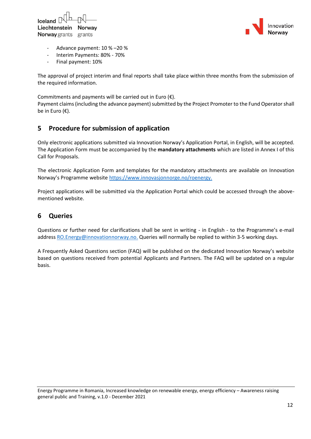



- Advance payment: 10 % –20 %
- Interim Payments: 80% 70%
- Final payment: 10%

The approval of project interim and final reports shall take place within three months from the submission of the required information.

Commitments and payments will be carried out in Euro  $(\epsilon)$ .

Payment claims (including the advance payment) submitted by the Project Promoter to the Fund Operatorshall be in Euro (€).

### <span id="page-11-0"></span>**5 Procedure for submission of application**

Only electronic applications submitted via Innovation Norway's Application Portal, in English, will be accepted. The Application Form must be accompanied by the **mandatory attachments** which are listed in Annex I of this Call for Proposals.

The electronic Application Form and templates for the mandatory attachments are available on Innovation Norway's Programme website https://www.innovasjonnorge.no/roenergy.

Project applications will be submitted via the Application Portal which could be accessed through the abovementioned website.

### <span id="page-11-1"></span>**6 Queries**

Questions or further need for clarifications shall be sent in writing - in English - to the Programme's e-mail address [RO.Energy@innovationnorway.no.](mailto:RO.Energy@innovationnorway.no) Queries will normally be replied to within 3-5 working days.

A Frequently Asked Questions section (FAQ) will be published on the dedicated Innovation Norway's website based on questions received from potential Applicants and Partners. The FAQ will be updated on a regular basis.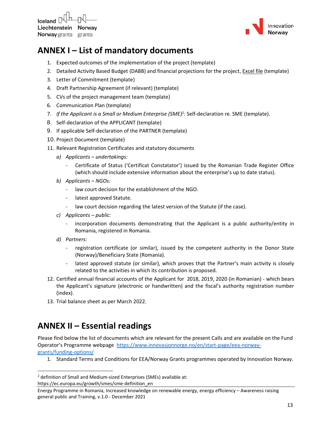Iceland  $\mathbb P$ Liechtenstein Norway **Norway** grants grants



## <span id="page-12-0"></span>**ANNEX I – List of mandatory documents**

- 1. Expected outcomes of the implementation of the project (template)
- 2. Detailed Activity Based Budget (DABB) and financial projections for the project, Excel file (template)
- 3. Letter of Commitment (template)
- 4. Draft Partnership Agreement (if relevant) (template)
- 5. CVs of the project management team (template)
- 6. Communication Plan (template)
- 7. *If the Applicant is a Small or Medium Enterprise (SME)<sup>2</sup> :* Self-declaration re. SME (template).
- 8. Self-declaration of the APPLICANT (template)
- 9. If applicable Self-declaration of the PARTNER (template)
- 10. Project Document (template)
- 11. Relevant Registration Certificates and statutory documents
	- *a) Applicants – undertakings:*
		- Certificate of Status ('Certificat Constatator') issued by the Romanian Trade Register Office (which should include extensive information about the enterprise's up to date status).
	- *b) Applicants – NGOs:* 
		- law court decision for the establishment of the NGO.
		- latest approved Statute.
		- law court decision regarding the latest version of the Statute (if the case).
	- *c) Applicants – public:*
		- incorporation documents demonstrating that the Applicant is a public authority/entity in Romania, registered in Romania.
	- *d) Partners:* 
		- registration certificate (or similar), issued by the competent authority in the Donor State (Norway)/Beneficiary State (Romania).
		- latest approved statute (or similar), which proves that the Partner's main activity is closely related to the activities in which its contribution is proposed.
- 12. Certified annual financial accounts of the Applicant for 2018, 2019, 2020 (in Romanian) which bears the Applicant's signature (electronic or handwritten) and the fiscal's authority registration number (index).
- 13. Trial balance sheet as per March 2022.

## <span id="page-12-1"></span>**ANNEX II – Essential readings**

Please find below the list of documents which are relevant for the present Calls and are available on the Fund Operator's Programme webpage [https://www.innovasjonnorge.no/en/start-page/eea-norway](https://www.innovasjonnorge.no/en/start-page/eea-norway-grants/funding-options/)[grants/funding-options/](https://www.innovasjonnorge.no/en/start-page/eea-norway-grants/funding-options/)

1. Standard Terms and Conditions for EEA/Norway Grants programmes operated by Innovation Norway.

<sup>&</sup>lt;sup>2</sup> definition of Small and Medium-sized Enterprises (SMEs) available at: https://ec.europa.eu/growth/smes/sme-definition\_en

Energy Programme in Romania, Increased knowledge on renewable energy, energy efficiency – Awareness raising general public and Training, v.1.0 - December 2021